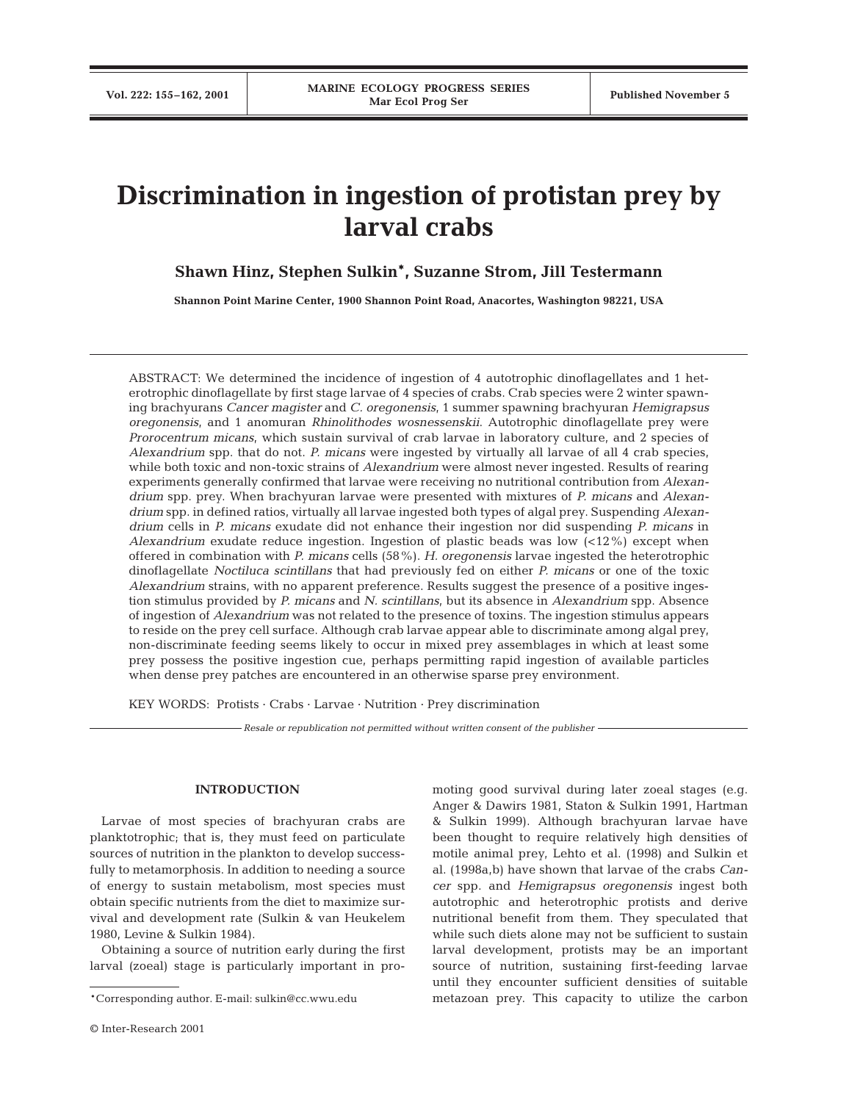# **Discrimination in ingestion of protistan prey by larval crabs**

# **Shawn Hinz, Stephen Sulkin\*, Suzanne Strom, Jill Testermann**

**Shannon Point Marine Center, 1900 Shannon Point Road, Anacortes, Washington 98221, USA**

ABSTRACT: We determined the incidence of ingestion of 4 autotrophic dinoflagellates and 1 heterotrophic dinoflagellate by first stage larvae of 4 species of crabs. Crab species were 2 winter spawning brachyurans *Cancer magister* and *C. oregonensis*, 1 summer spawning brachyuran *Hemigrapsus oregonensis*, and 1 anomuran *Rhinolithodes wosnessenskii*. Autotrophic dinoflagellate prey were *Prorocentrum micans*, which sustain survival of crab larvae in laboratory culture, and 2 species of *Alexandrium* spp. that do not. *P. micans* were ingested by virtually all larvae of all 4 crab species, while both toxic and non-toxic strains of *Alexandrium* were almost never ingested. Results of rearing experiments generally confirmed that larvae were receiving no nutritional contribution from *Alexandrium* spp. prey. When brachyuran larvae were presented with mixtures of *P. micans* and *Alexandrium* spp. in defined ratios, virtually all larvae ingested both types of algal prey. Suspending *Alexandrium* cells in *P. micans* exudate did not enhance their ingestion nor did suspending *P. micans* in *Alexandrium* exudate reduce ingestion. Ingestion of plastic beads was low (<12%) except when offered in combination with *P. micans* cells (58%). *H. oregonensis* larvae ingested the heterotrophic dinoflagellate *Noctiluca scintillans* that had previously fed on either *P. micans* or one of the toxic *Alexandrium* strains, with no apparent preference. Results suggest the presence of a positive ingestion stimulus provided by *P. micans* and *N. scintillans*, but its absence in *Alexandrium* spp. Absence of ingestion of *Alexandrium* was not related to the presence of toxins. The ingestion stimulus appears to reside on the prey cell surface. Although crab larvae appear able to discriminate among algal prey, non-discriminate feeding seems likely to occur in mixed prey assemblages in which at least some prey possess the positive ingestion cue, perhaps permitting rapid ingestion of available particles when dense prey patches are encountered in an otherwise sparse prey environment.

KEY WORDS: Protists · Crabs · Larvae · Nutrition · Prey discrimination

*Resale or republication not permitted without written consent of the publisher*

### **INTRODUCTION**

Larvae of most species of brachyuran crabs are planktotrophic; that is, they must feed on particulate sources of nutrition in the plankton to develop successfully to metamorphosis. In addition to needing a source of energy to sustain metabolism, most species must obtain specific nutrients from the diet to maximize survival and development rate (Sulkin & van Heukelem 1980, Levine & Sulkin 1984).

Obtaining a source of nutrition early during the first larval (zoeal) stage is particularly important in promoting good survival during later zoeal stages (e.g. Anger & Dawirs 1981, Staton & Sulkin 1991, Hartman & Sulkin 1999). Although brachyuran larvae have been thought to require relatively high densities of motile animal prey, Lehto et al. (1998) and Sulkin et al. (1998a,b) have shown that larvae of the crabs *Cancer* spp. and *Hemigrapsus oregonensis* ingest both autotrophic and heterotrophic protists and derive nutritional benefit from them. They speculated that while such diets alone may not be sufficient to sustain larval development, protists may be an important source of nutrition, sustaining first-feeding larvae until they encounter sufficient densities of suitable metazoan prey. This capacity to utilize the carbon

<sup>\*</sup>Corresponding author. E-mail: sulkin@cc.wwu.edu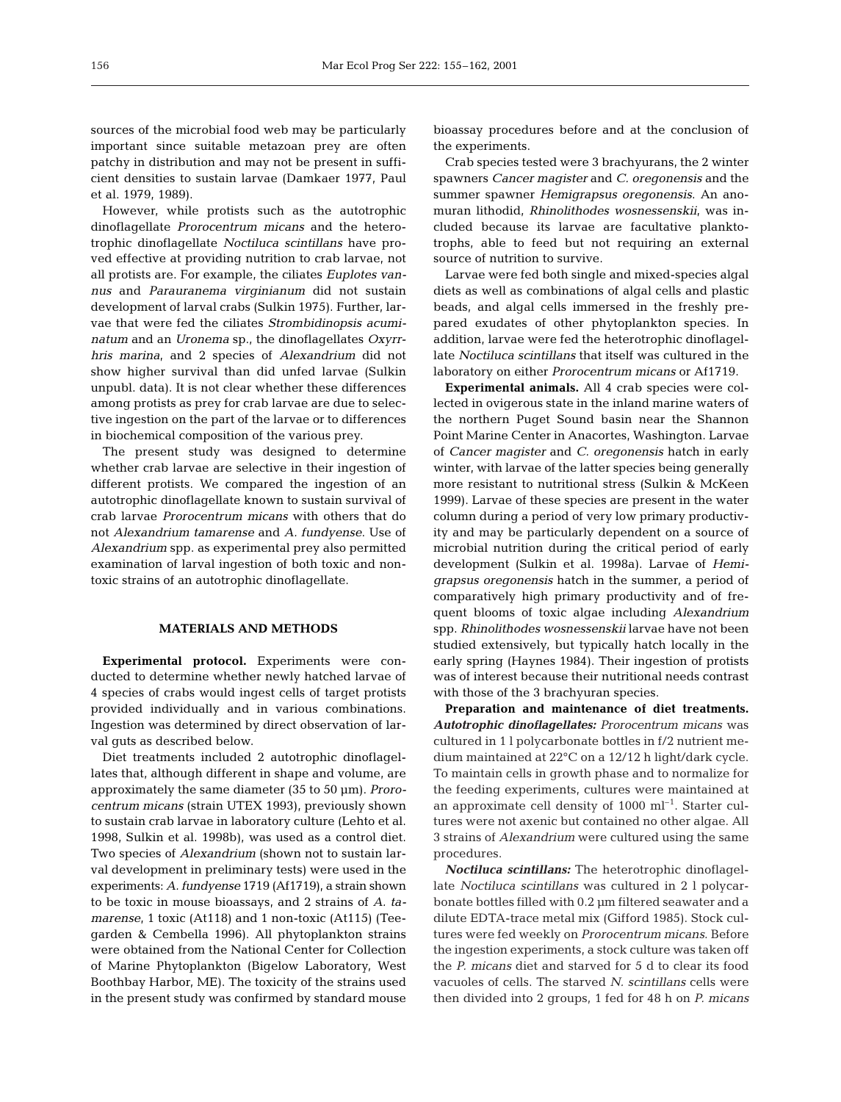sources of the microbial food web may be particularly important since suitable metazoan prey are often patchy in distribution and may not be present in sufficient densities to sustain larvae (Damkaer 1977, Paul et al. 1979, 1989).

However, while protists such as the autotrophic dinoflagellate *Prorocentrum micans* and the heterotrophic dinoflagellate *Noctiluca scintillans* have proved effective at providing nutrition to crab larvae, not all protists are. For example, the ciliates *Euplotes vannus* and *Parauranema virginianum* did not sustain development of larval crabs (Sulkin 1975). Further, larvae that were fed the ciliates *Strombidinopsis acuminatum* and an *Uronema* sp., the dinoflagellates *Oxyrrhris marina*, and 2 species of *Alexandrium* did not show higher survival than did unfed larvae (Sulkin unpubl. data). It is not clear whether these differences among protists as prey for crab larvae are due to selective ingestion on the part of the larvae or to differences in biochemical composition of the various prey.

The present study was designed to determine whether crab larvae are selective in their ingestion of different protists. We compared the ingestion of an autotrophic dinoflagellate known to sustain survival of crab larvae *Prorocentrum micans* with others that do not *Alexandrium tamarense* and *A. fundyense*. Use of *Alexandrium* spp. as experimental prey also permitted examination of larval ingestion of both toxic and nontoxic strains of an autotrophic dinoflagellate.

# **MATERIALS AND METHODS**

**Experimental protocol.** Experiments were conducted to determine whether newly hatched larvae of 4 species of crabs would ingest cells of target protists provided individually and in various combinations. Ingestion was determined by direct observation of larval guts as described below.

Diet treatments included 2 autotrophic dinoflagellates that, although different in shape and volume, are approximately the same diameter (35 to 50 µm). *Prorocentrum micans* (strain UTEX 1993), previously shown to sustain crab larvae in laboratory culture (Lehto et al. 1998, Sulkin et al. 1998b), was used as a control diet. Two species of *Alexandrium* (shown not to sustain larval development in preliminary tests) were used in the experiments: *A. fundyense* 1719 (Af1719), a strain shown to be toxic in mouse bioassays, and 2 strains of *A. tamarense*, 1 toxic (At118) and 1 non-toxic (At115) (Teegarden & Cembella 1996). All phytoplankton strains were obtained from the National Center for Collection of Marine Phytoplankton (Bigelow Laboratory, West Boothbay Harbor, ME). The toxicity of the strains used in the present study was confirmed by standard mouse

bioassay procedures before and at the conclusion of the experiments.

Crab species tested were 3 brachyurans, the 2 winter spawners *Cancer magister* and *C. oregonensis* and the summer spawner *Hemigrapsus oregonensis*. An anomuran lithodid, *Rhinolithodes wosnessenskii*, was included because its larvae are facultative planktotrophs, able to feed but not requiring an external source of nutrition to survive.

Larvae were fed both single and mixed-species algal diets as well as combinations of algal cells and plastic beads, and algal cells immersed in the freshly prepared exudates of other phytoplankton species. In addition, larvae were fed the heterotrophic dinoflagellate *Noctiluca scintillans* that itself was cultured in the laboratory on either *Prorocentrum micans* or Af1719.

**Experimental animals.** All 4 crab species were collected in ovigerous state in the inland marine waters of the northern Puget Sound basin near the Shannon Point Marine Center in Anacortes, Washington. Larvae of *Cancer magister* and *C. oregonensis* hatch in early winter, with larvae of the latter species being generally more resistant to nutritional stress (Sulkin & McKeen 1999). Larvae of these species are present in the water column during a period of very low primary productivity and may be particularly dependent on a source of microbial nutrition during the critical period of early development (Sulkin et al. 1998a). Larvae of *Hemigrapsus oregonensis* hatch in the summer, a period of comparatively high primary productivity and of frequent blooms of toxic algae including *Alexandrium* spp. *Rhinolithodes wosnessenskii* larvae have not been studied extensively, but typically hatch locally in the early spring (Haynes 1984). Their ingestion of protists was of interest because their nutritional needs contrast with those of the 3 brachyuran species.

**Preparation and maintenance of diet treatments.** *Autotrophic dinoflagellates: Prorocentrum micans* was cultured in 1 l polycarbonate bottles in f/2 nutrient medium maintained at 22°C on a 12/12 h light/dark cycle. To maintain cells in growth phase and to normalize for the feeding experiments, cultures were maintained at an approximate cell density of  $1000 \text{ ml}^{-1}$ . Starter cultures were not axenic but contained no other algae. All 3 strains of *Alexandrium* were cultured using the same procedures.

*Noctiluca scintillans:* The heterotrophic dinoflagellate *Noctiluca scintillans* was cultured in 2 l polycarbonate bottles filled with 0.2 µm filtered seawater and a dilute EDTA-trace metal mix (Gifford 1985). Stock cultures were fed weekly on *Prorocentrum micans*. Before the ingestion experiments, a stock culture was taken off the *P. micans* diet and starved for 5 d to clear its food vacuoles of cells. The starved *N. scintillans* cells were then divided into 2 groups, 1 fed for 48 h on *P. micans*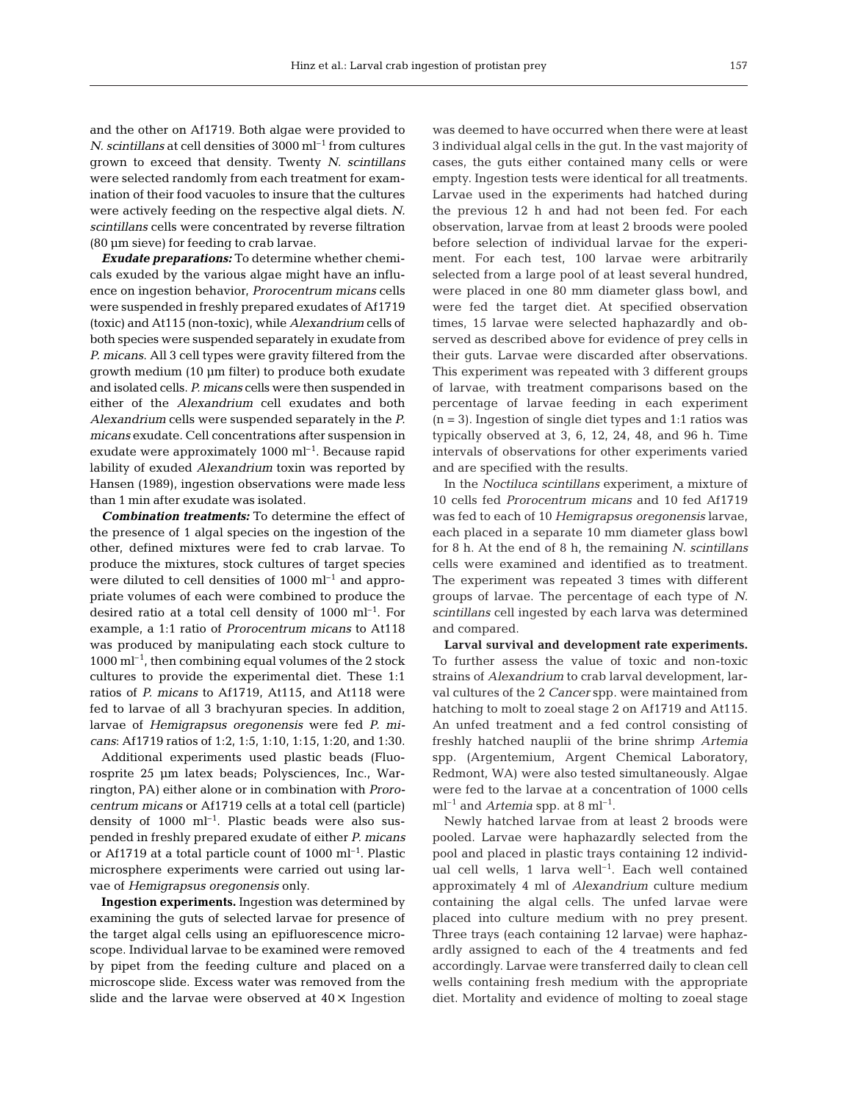and the other on Af1719. Both algae were provided to *N. scintillans* at cell densities of 3000 ml<sup>-1</sup> from cultures grown to exceed that density. Twenty *N. scintillans* were selected randomly from each treatment for examination of their food vacuoles to insure that the cultures were actively feeding on the respective algal diets. *N. scintillans* cells were concentrated by reverse filtration (80 µm sieve) for feeding to crab larvae.

*Exudate preparations:* To determine whether chemicals exuded by the various algae might have an influence on ingestion behavior, *Prorocentrum micans* cells were suspended in freshly prepared exudates of Af1719 (toxic) and At115 (non-toxic), while *Alexandrium* cells of both species were suspended separately in exudate from *P. micans*. All 3 cell types were gravity filtered from the growth medium (10 µm filter) to produce both exudate and isolated cells. *P. micans* cells were then suspended in either of the *Alexandrium* cell exudates and both *Alexandrium* cells were suspended separately in the *P. micans* exudate. Cell concentrations after suspension in exudate were approximately  $1000 \text{ ml}^{-1}$ . Because rapid lability of exuded *Alexandrium* toxin was reported by Hansen (1989), ingestion observations were made less than 1 min after exudate was isolated.

*Combination treatments:* To determine the effect of the presence of 1 algal species on the ingestion of the other, defined mixtures were fed to crab larvae. To produce the mixtures, stock cultures of target species were diluted to cell densities of  $1000 \text{ ml}^{-1}$  and appropriate volumes of each were combined to produce the desired ratio at a total cell density of  $1000 \text{ ml}^{-1}$ . For example, a 1:1 ratio of *Prorocentrum micans* to At118 was produced by manipulating each stock culture to  $1000 \text{ ml}^{-1}$ , then combining equal volumes of the 2 stock cultures to provide the experimental diet. These 1:1 ratios of *P. micans* to Af1719, At115, and At118 were fed to larvae of all 3 brachyuran species. In addition, larvae of *Hemigrapsus oregonensis* were fed *P. micans*: Af1719 ratios of 1:2, 1:5, 1:10, 1:15, 1:20, and 1:30.

Additional experiments used plastic beads (Fluorosprite 25 µm latex beads; Polysciences, Inc., Warrington, PA) either alone or in combination with *Prorocentrum micans* or Af1719 cells at a total cell (particle) density of  $1000 \text{ ml}^{-1}$ . Plastic beads were also suspended in freshly prepared exudate of either *P. micans* or Af1719 at a total particle count of  $1000 \text{ ml}^{-1}$ . Plastic microsphere experiments were carried out using larvae of *Hemigrapsus oregonensis* only.

**Ingestion experiments.** Ingestion was determined by examining the guts of selected larvae for presence of the target algal cells using an epifluorescence microscope. Individual larvae to be examined were removed by pipet from the feeding culture and placed on a microscope slide. Excess water was removed from the slide and the larvae were observed at 40×. Ingestion

was deemed to have occurred when there were at least 3 individual algal cells in the gut. In the vast majority of cases, the guts either contained many cells or were empty. Ingestion tests were identical for all treatments. Larvae used in the experiments had hatched during the previous 12 h and had not been fed. For each observation, larvae from at least 2 broods were pooled before selection of individual larvae for the experiment. For each test, 100 larvae were arbitrarily selected from a large pool of at least several hundred, were placed in one 80 mm diameter glass bowl, and were fed the target diet. At specified observation times, 15 larvae were selected haphazardly and observed as described above for evidence of prey cells in their guts. Larvae were discarded after observations. This experiment was repeated with 3 different groups of larvae, with treatment comparisons based on the percentage of larvae feeding in each experiment  $(n = 3)$ . Ingestion of single diet types and 1:1 ratios was typically observed at 3, 6, 12, 24, 48, and 96 h. Time intervals of observations for other experiments varied and are specified with the results.

In the *Noctiluca scintillans* experiment, a mixture of 10 cells fed *Prorocentrum micans* and 10 fed Af1719 was fed to each of 10 *Hemigrapsus oregonensis* larvae, each placed in a separate 10 mm diameter glass bowl for 8 h. At the end of 8 h, the remaining *N. scintillans* cells were examined and identified as to treatment. The experiment was repeated 3 times with different groups of larvae. The percentage of each type of *N. scintillans* cell ingested by each larva was determined and compared.

**Larval survival and development rate experiments.** To further assess the value of toxic and non-toxic strains of *Alexandrium* to crab larval development, larval cultures of the 2 *Cancer* spp. were maintained from hatching to molt to zoeal stage 2 on Af1719 and At115. An unfed treatment and a fed control consisting of freshly hatched nauplii of the brine shrimp *Artemia* spp. (Argentemium, Argent Chemical Laboratory, Redmont, WA) were also tested simultaneously. Algae were fed to the larvae at a concentration of 1000 cells  $ml^{-1}$  and *Artemia* spp. at 8  $ml^{-1}$ .

Newly hatched larvae from at least 2 broods were pooled. Larvae were haphazardly selected from the pool and placed in plastic trays containing 12 individual cell wells, 1 larva well<sup>-1</sup>. Each well contained approximately 4 ml of *Alexandrium* culture medium containing the algal cells. The unfed larvae were placed into culture medium with no prey present. Three trays (each containing 12 larvae) were haphazardly assigned to each of the 4 treatments and fed accordingly. Larvae were transferred daily to clean cell wells containing fresh medium with the appropriate diet. Mortality and evidence of molting to zoeal stage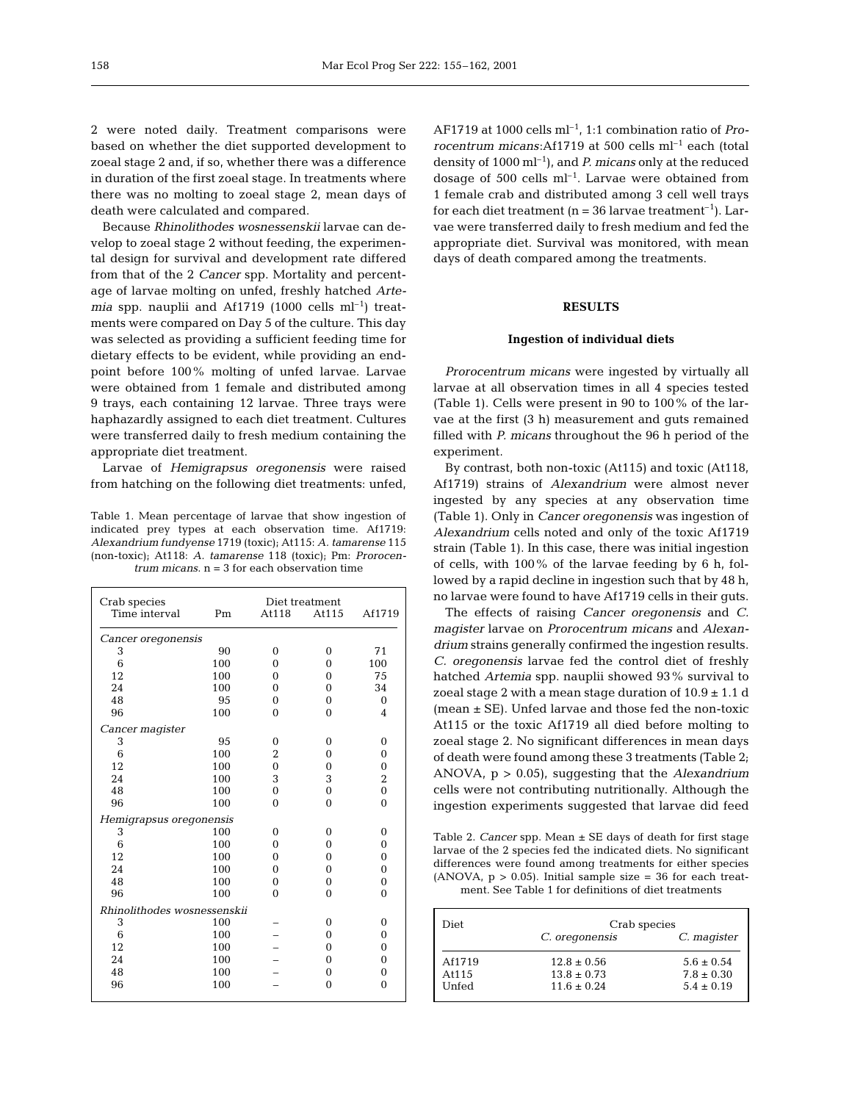2 were noted daily. Treatment comparisons were based on whether the diet supported development to zoeal stage 2 and, if so, whether there was a difference in duration of the first zoeal stage. In treatments where there was no molting to zoeal stage 2, mean days of death were calculated and compared.

Because *Rhinolithodes wosnessenskii* larvae can develop to zoeal stage 2 without feeding, the experimental design for survival and development rate differed from that of the 2 *Cancer* spp. Mortality and percentage of larvae molting on unfed, freshly hatched *Artemia* spp. nauplii and Af1719 (1000 cells  $ml^{-1}$ ) treatments were compared on Day 5 of the culture. This day was selected as providing a sufficient feeding time for dietary effects to be evident, while providing an endpoint before 100% molting of unfed larvae. Larvae were obtained from 1 female and distributed among 9 trays, each containing 12 larvae. Three trays were haphazardly assigned to each diet treatment. Cultures were transferred daily to fresh medium containing the appropriate diet treatment.

Larvae of *Hemigrapsus oregonensis* were raised from hatching on the following diet treatments: unfed,

Table 1. Mean percentage of larvae that show ingestion of indicated prey types at each observation time. Af1719: *Alexandrium fundyense* 1719 (toxic); At115: *A. tamarense* 115 (non-toxic); At118: *A. tamarense* 118 (toxic); Pm: *Prorocentrum micans*. n = 3 for each observation time

| Crab species                | Diet treatment |                |                |                |  |  |
|-----------------------------|----------------|----------------|----------------|----------------|--|--|
| Time interval               | Pm             | At118          | At115          | Af1719         |  |  |
| Cancer oregonensis          |                |                |                |                |  |  |
| 3                           | 90             | $\theta$       | $\theta$       | 71             |  |  |
| 6                           | 100            | 0              | $\theta$       | 100            |  |  |
| 12                          | 100            | $\theta$       | $\theta$       | 75             |  |  |
| 24                          | 100            | 0              | $\mathbf{0}$   | 34             |  |  |
| 48                          | 95             | $\theta$       | $\theta$       | $\theta$       |  |  |
| 96                          | 100            | $\theta$       | $\theta$       | $\overline{4}$ |  |  |
| Cancer magister             |                |                |                |                |  |  |
| 3                           | 95             | $\theta$       | $\Omega$       | $\theta$       |  |  |
| 6                           | 100            | $\overline{2}$ | $\theta$       | $\mathbf{0}$   |  |  |
| 12                          | 100            | $\overline{0}$ | 0              | $\mathbf{0}$   |  |  |
| 24                          | 100            | 3              | 3              | 2              |  |  |
| 48                          | 100            | $\mathbf{0}$   | $\overline{0}$ | $\overline{0}$ |  |  |
| 96                          | 100            | $\Omega$       | $\theta$       | $\mathbf{0}$   |  |  |
| Hemigrapsus oregonensis     |                |                |                |                |  |  |
| 3                           | 100            | $\Omega$       | $\Omega$       | $\mathbf{0}$   |  |  |
| 6                           | 100            | 0              | 0              | $\mathbf{0}$   |  |  |
| 12                          | 100            | $\theta$       | $\theta$       | $\theta$       |  |  |
| 24                          | 100            | $\theta$       | $\theta$       | $\mathbf{0}$   |  |  |
| 48                          | 100            | $\theta$       | $\theta$       | $\mathbf{0}$   |  |  |
| 96                          | 100            | $\Omega$       | $\theta$       | $\Omega$       |  |  |
| Rhinolithodes wosnessenskii |                |                |                |                |  |  |
| 3                           | 100            |                | $\Omega$       | $\mathbf{0}$   |  |  |
| 6                           | 100            |                | $\theta$       | $\mathbf{0}$   |  |  |
| 12                          | 100            |                | $\theta$       | $\theta$       |  |  |
| 24                          | 100            |                | $\theta$       | $\mathbf{0}$   |  |  |
| 48                          | 100            |                | $\theta$       | $\mathbf{0}$   |  |  |
| 96                          | 100            |                | $\theta$       | $\theta$       |  |  |
|                             |                |                |                |                |  |  |

AF1719 at 1000 cells ml–1, 1:1 combination ratio of *Prorocentrum micans*:Af1719 at 500 cells ml–1 each (total density of 1000 ml–1), and *P. micans* only at the reduced dosage of 500 cells  $ml^{-1}$ . Larvae were obtained from 1 female crab and distributed among 3 cell well trays for each diet treatment ( $n = 36$  larvae treatment<sup>-1</sup>). Larvae were transferred daily to fresh medium and fed the appropriate diet. Survival was monitored, with mean days of death compared among the treatments.

### **RESULTS**

## **Ingestion of individual diets**

*Prorocentrum micans* were ingested by virtually all larvae at all observation times in all 4 species tested (Table 1). Cells were present in 90 to 100% of the larvae at the first (3 h) measurement and guts remained filled with *P. micans* throughout the 96 h period of the experiment.

By contrast, both non-toxic (At115) and toxic (At118, Af1719) strains of *Alexandrium* were almost never ingested by any species at any observation time (Table 1). Only in *Cancer oregonensis* was ingestion of *Alexandrium* cells noted and only of the toxic Af1719 strain (Table 1). In this case, there was initial ingestion of cells, with 100% of the larvae feeding by 6 h, followed by a rapid decline in ingestion such that by 48 h, no larvae were found to have Af1719 cells in their guts.

The effects of raising *Cancer oregonensis* and *C. magister* larvae on *Prorocentrum micans* and *Alexandrium* strains generally confirmed the ingestion results. *C. oregonensis* larvae fed the control diet of freshly hatched *Artemia* spp. nauplii showed 93% survival to zoeal stage 2 with a mean stage duration of  $10.9 \pm 1.1$  d  $(mean \pm SE)$ . Unfed larvae and those fed the non-toxic At115 or the toxic Af1719 all died before molting to zoeal stage 2. No significant differences in mean days of death were found among these 3 treatments (Table 2; ANOVA, p > 0.05), suggesting that the *Alexandrium* cells were not contributing nutritionally. Although the ingestion experiments suggested that larvae did feed

Table 2. *Cancer* spp. Mean ± SE days of death for first stage larvae of the 2 species fed the indicated diets. No significant differences were found among treatments for either species (ANOVA,  $p > 0.05$ ). Initial sample size = 36 for each treatment. See Table 1 for definitions of diet treatments

| Diet            | Crab species                       |                                  |
|-----------------|------------------------------------|----------------------------------|
|                 | C. oregonensis                     | C. magister                      |
| Af1719<br>At115 | $12.8 \pm 0.56$<br>$13.8 \pm 0.73$ | $5.6 \pm 0.54$<br>$7.8 \pm 0.30$ |
| Unfed           | $11.6 + 0.24$                      | $5.4 \pm 0.19$                   |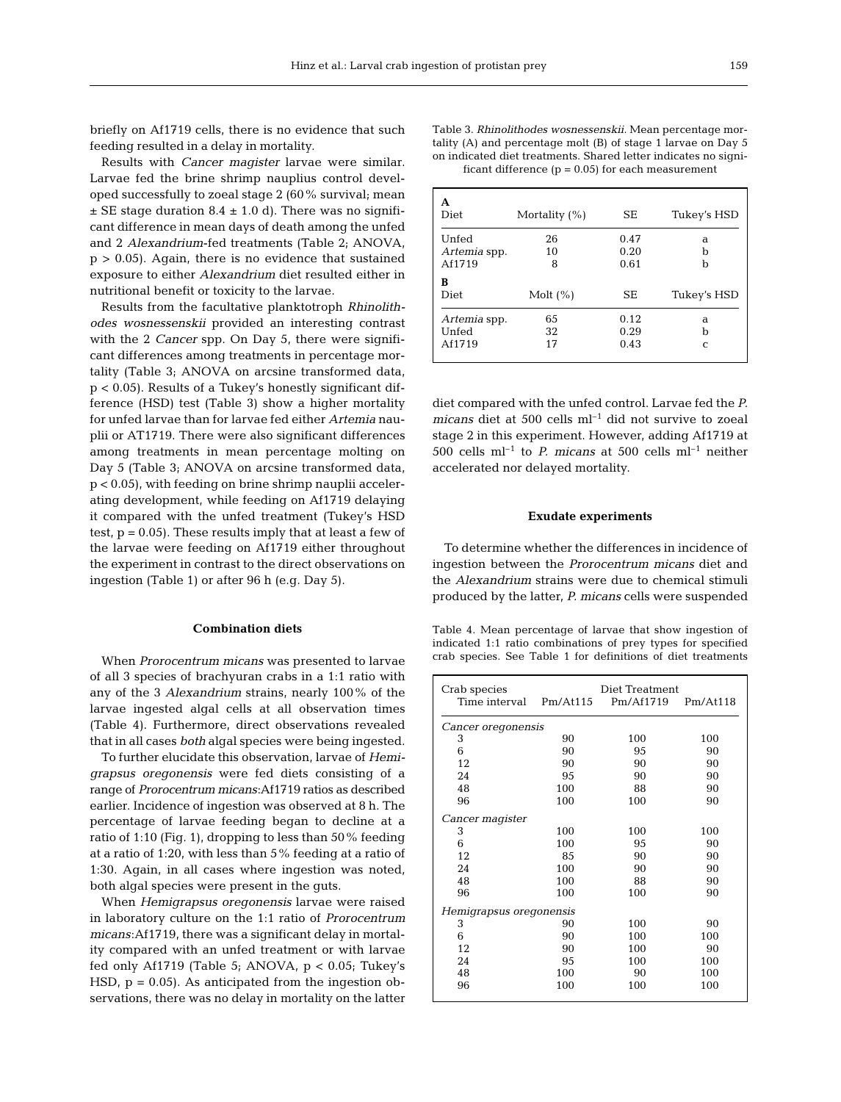briefly on Af1719 cells, there is no evidence that such feeding resulted in a delay in mortality.

Results with *Cancer magister* larvae were similar. Larvae fed the brine shrimp nauplius control developed successfully to zoeal stage 2 (60% survival; mean  $\pm$  SE stage duration 8.4  $\pm$  1.0 d). There was no significant difference in mean days of death among the unfed and 2 *Alexandrium*-fed treatments (Table 2; ANOVA,  $p > 0.05$ ). Again, there is no evidence that sustained exposure to either *Alexandrium* diet resulted either in nutritional benefit or toxicity to the larvae.

Results from the facultative planktotroph *Rhinolithodes wosnessenskii* provided an interesting contrast with the 2 *Cancer* spp. On Day 5, there were significant differences among treatments in percentage mortality (Table 3; ANOVA on arcsine transformed data, p < 0.05). Results of a Tukey's honestly significant difference (HSD) test (Table 3) show a higher mortality for unfed larvae than for larvae fed either *Artemia* nauplii or AT1719. There were also significant differences among treatments in mean percentage molting on Day 5 (Table 3; ANOVA on arcsine transformed data, p < 0.05), with feeding on brine shrimp nauplii accelerating development, while feeding on Af1719 delaying it compared with the unfed treatment (Tukey's HSD test,  $p = 0.05$ . These results imply that at least a few of the larvae were feeding on Af1719 either throughout the experiment in contrast to the direct observations on ingestion (Table 1) or after 96 h (e.g. Day 5).

### **Combination diets**

When *Prorocentrum micans* was presented to larvae of all 3 species of brachyuran crabs in a 1:1 ratio with any of the 3 *Alexandrium* strains, nearly 100% of the larvae ingested algal cells at all observation times (Table 4). Furthermore, direct observations revealed that in all cases *both* algal species were being ingested.

To further elucidate this observation, larvae of *Hemigrapsus oregonensis* were fed diets consisting of a range of *Prorocentrum micans*:Af1719 ratios as described earlier. Incidence of ingestion was observed at 8 h. The percentage of larvae feeding began to decline at a ratio of 1:10 (Fig. 1), dropping to less than 50% feeding at a ratio of 1:20, with less than 5% feeding at a ratio of 1:30. Again, in all cases where ingestion was noted, both algal species were present in the guts.

When *Hemigrapsus oregonensis* larvae were raised in laboratory culture on the 1:1 ratio of *Prorocentrum micans*:Af1719, there was a significant delay in mortality compared with an unfed treatment or with larvae fed only Af1719 (Table 5; ANOVA,  $p < 0.05$ ; Tukey's HSD,  $p = 0.05$ ). As anticipated from the ingestion observations, there was no delay in mortality on the latter

Table 3. *Rhinolithodes wosnessenskii.* Mean percentage mortality (A) and percentage molt (B) of stage 1 larvae on Day 5 on indicated diet treatments. Shared letter indicates no significant difference  $(p = 0.05)$  for each measurement

| А<br><b>Diet</b>                | Mortality $(\%)$ | SE                   | Tukey's HSD |
|---------------------------------|------------------|----------------------|-------------|
| Unfed<br>Artemia spp.<br>Af1719 | 26<br>10<br>8    | 0.47<br>0.20<br>0.61 | a<br>h<br>b |
| в<br>Diet                       | Molt $(\% )$     | SE                   | Tukey's HSD |
| Artemia spp.<br>Unfed<br>Af1719 | 65<br>32<br>17   | 0.12<br>0.29<br>0.43 | a<br>b<br>C |

diet compared with the unfed control. Larvae fed the *P. micans* diet at 500 cells  $ml^{-1}$  did not survive to zoeal stage 2 in this experiment. However, adding Af1719 at 500 cells  $ml^{-1}$  to *P. micans* at 500 cells  $ml^{-1}$  neither accelerated nor delayed mortality.

#### **Exudate experiments**

To determine whether the differences in incidence of ingestion between the *Prorocentrum micans* diet and the *Alexandrium* strains were due to chemical stimuli produced by the latter, *P. micans* cells were suspended

Table 4. Mean percentage of larvae that show ingestion of indicated 1:1 ratio combinations of prey types for specified crab species. See Table 1 for definitions of diet treatments

| Crab species            |          | Diet Treatment |          |  |  |
|-------------------------|----------|----------------|----------|--|--|
| Time interval           | Pm/At115 | Pm/Af1719      | Pm/At118 |  |  |
| Cancer oregonensis      |          |                |          |  |  |
| 3                       | 90       | 100            | 100      |  |  |
| 6                       | 90       | 95             | 90       |  |  |
| 12                      | 90       | 90             | 90       |  |  |
| 24                      | 95       | 90             | 90       |  |  |
| 48                      | 100      | 88             | 90       |  |  |
| 96                      | 100      | 100            | 90       |  |  |
| Cancer magister         |          |                |          |  |  |
| 3                       | 100      | 100            | 100      |  |  |
| 6                       | 100      | 95             | 90       |  |  |
| 12                      | 85       | 90             | 90       |  |  |
| 24                      | 100      | 90             | 90       |  |  |
| 48                      | 100      | 88             | 90       |  |  |
| 96                      | 100      | 100            | 90       |  |  |
| Hemigrapsus oregonensis |          |                |          |  |  |
| 3                       | 90       | 100            | 90       |  |  |
| 6                       | 90       | 100            | 100      |  |  |
| 12                      | 90       | 100            | 90       |  |  |
| 24                      | 95       | 100            | 100      |  |  |
| 48                      | 100      | 90             | 100      |  |  |
| 96                      | 100      | 100            | 100      |  |  |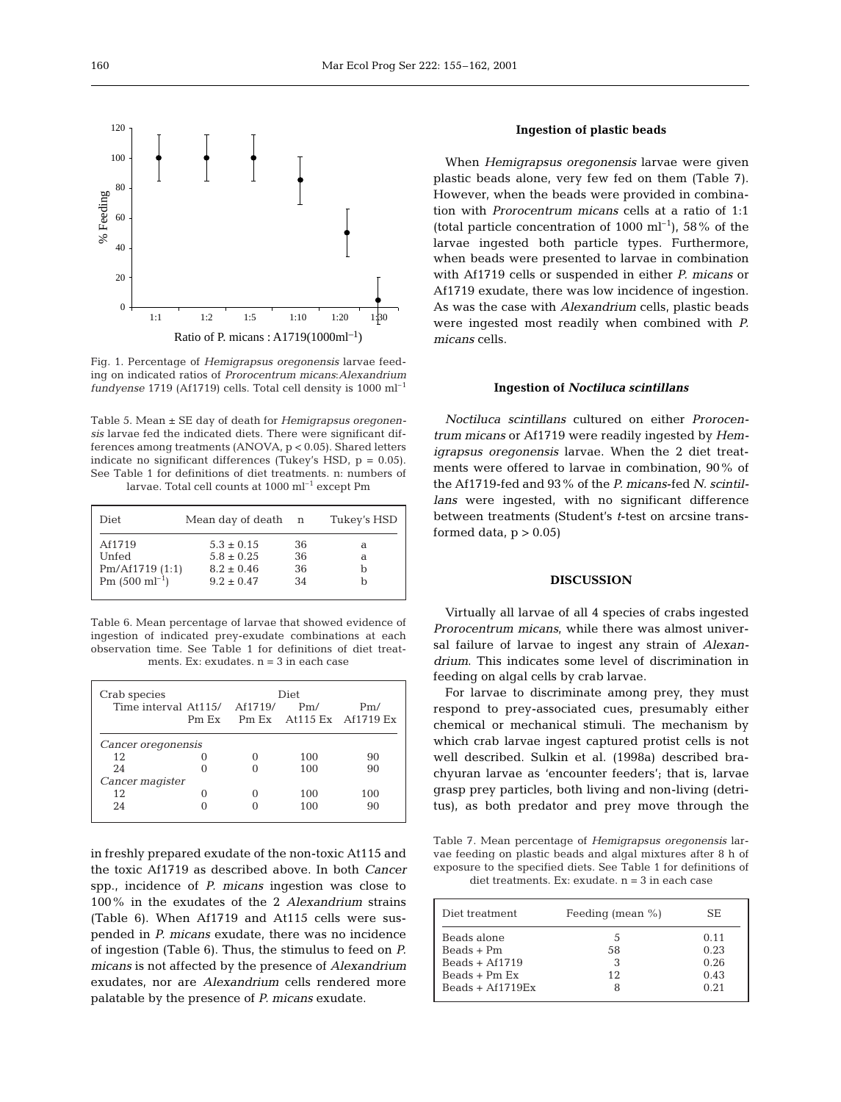

Fig. 1. Percentage of *Hemigrapsus oregonensis* larvae feeding on indicated ratios of *Prorocentrum micans*:*Alexandrium fundyense* 1719 (Af1719) cells. Total cell density is 1000 ml–1

Table 5. Mean ± SE day of death for *Hemigrapsus oregonensis* larvae fed the indicated diets. There were significant differences among treatments (ANOVA, p < 0.05). Shared letters indicate no significant differences (Tukey's HSD,  $p = 0.05$ ). See Table 1 for definitions of diet treatments. n: numbers of larvae. Total cell counts at 1000 ml<sup>-1</sup> except Pm

| Diet                       | Mean day of death | n  | Tukey's HSD |
|----------------------------|-------------------|----|-------------|
| Af1719                     | $5.3 \pm 0.15$    | 36 | a           |
| Unfed                      | $5.8 \pm 0.25$    | 36 | a           |
| Pm/Af1719(1:1)             | $8.2 \pm 0.46$    | 36 |             |
| Pm $(500 \text{ ml}^{-1})$ | $9.2 + 0.47$      | 34 |             |

Table 6. Mean percentage of larvae that showed evidence of ingestion of indicated prey-exudate combinations at each observation time. See Table 1 for definitions of diet treatments. Ex: exudates.  $n = 3$  in each case

| Crab species                 |       | Diet |     |                                  |
|------------------------------|-------|------|-----|----------------------------------|
| Time interval At115/ Af1719/ |       |      | Pm/ | Pm/                              |
|                              | Pm Ex |      |     | Pm $Ex$ At 115 $Ex$ At 1719 $Ex$ |
| Cancer oregonensis           |       |      |     |                                  |
| 12                           |       |      | 100 | 90                               |
| 24                           |       |      | 100 | 90                               |
| Cancer magister              |       |      |     |                                  |
| 12                           |       |      | 100 | 100                              |
| 24                           |       |      | 100 | 90                               |
|                              |       |      |     |                                  |

in freshly prepared exudate of the non-toxic At115 and the toxic Af1719 as described above. In both *Cancer* spp., incidence of *P. micans* ingestion was close to 100% in the exudates of the 2 *Alexandrium* strains (Table 6). When Af1719 and At115 cells were suspended in *P. micans* exudate, there was no incidence of ingestion (Table 6). Thus, the stimulus to feed on *P. micans* is not affected by the presence of *Alexandrium* exudates, nor are *Alexandrium* cells rendered more palatable by the presence of *P. micans* exudate.

#### **Ingestion of plastic beads**

When *Hemigrapsus oregonensis* larvae were given plastic beads alone, very few fed on them (Table 7). However, when the beads were provided in combination with *Prorocentrum micans* cells at a ratio of 1:1 (total particle concentration of  $1000 \text{ ml}^{-1}$ ),  $58\%$  of the larvae ingested both particle types. Furthermore, when beads were presented to larvae in combination with Af1719 cells or suspended in either *P. micans* or Af1719 exudate, there was low incidence of ingestion. As was the case with *Alexandrium* cells, plastic beads were ingested most readily when combined with *P. micans* cells.

#### **Ingestion of** *Noctiluca scintillans*

*Noctiluca scintillans* cultured on either *Prorocentrum micans* or Af1719 were readily ingested by *Hemigrapsus oregonensis* larvae. When the 2 diet treatments were offered to larvae in combination, 90% of the Af1719-fed and 93% of the *P. micans*-fed *N. scintillans* were ingested, with no significant difference between treatments (Student's *t*-test on arcsine transformed data,  $p > 0.05$ 

#### **DISCUSSION**

Virtually all larvae of all 4 species of crabs ingested *Prorocentrum micans*, while there was almost universal failure of larvae to ingest any strain of *Alexandrium*. This indicates some level of discrimination in feeding on algal cells by crab larvae.

For larvae to discriminate among prey, they must respond to prey-associated cues, presumably either chemical or mechanical stimuli. The mechanism by which crab larvae ingest captured protist cells is not well described. Sulkin et al. (1998a) described brachyuran larvae as 'encounter feeders'; that is, larvae grasp prey particles, both living and non-living (detritus), as both predator and prey move through the

Table 7. Mean percentage of *Hemigrapsus oregonensis* larvae feeding on plastic beads and algal mixtures after 8 h of exposure to the specified diets. See Table 1 for definitions of diet treatments. Ex: exudate.  $n = 3$  in each case

| Diet treatment     | Feeding (mean $\%$ ) | SE.  |
|--------------------|----------------------|------|
| Beads alone        | 5.                   | 0.11 |
| $Beads + Pm$       | 58                   | 0.23 |
| $Beads + Af1719$   |                      | 0.26 |
| $Beads + Pm Ex$    | 12                   | 0.43 |
| Beads + $Af1719Fx$ |                      | 0.21 |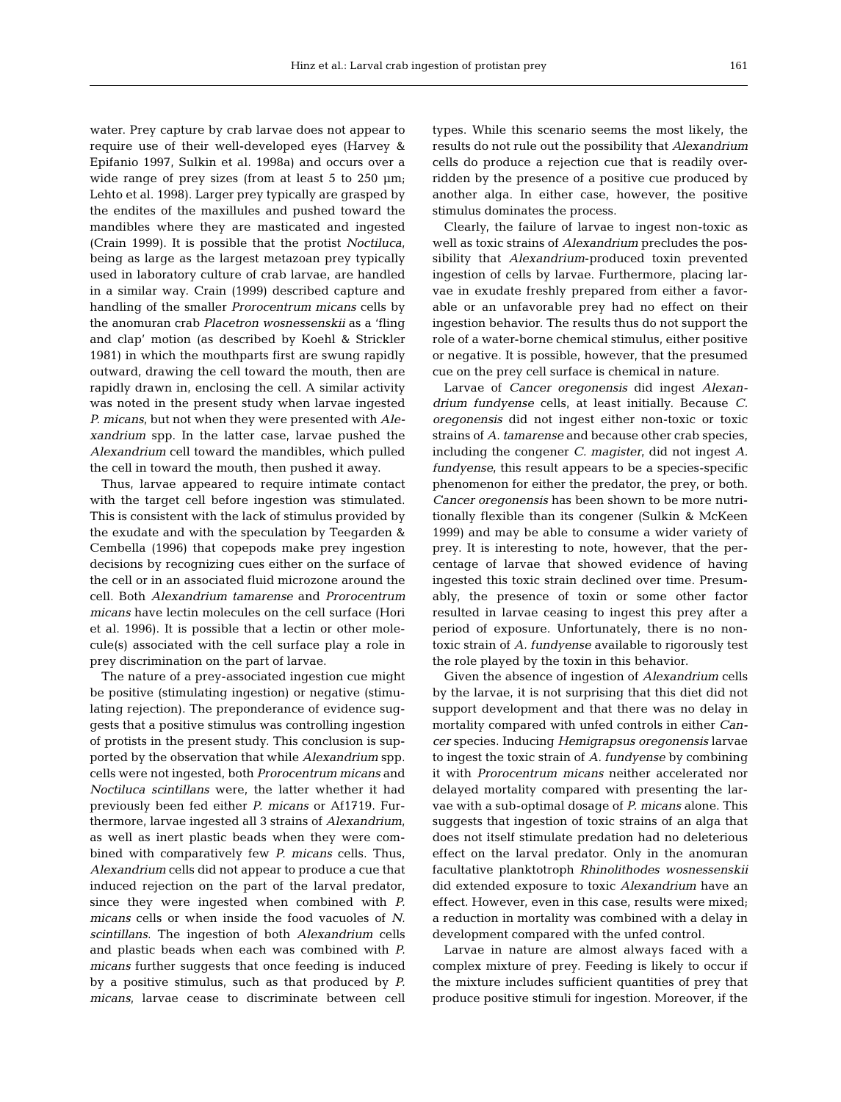water. Prey capture by crab larvae does not appear to require use of their well-developed eyes (Harvey & Epifanio 1997, Sulkin et al. 1998a) and occurs over a wide range of prey sizes (from at least  $5$  to  $250 \mu m$ ; Lehto et al. 1998). Larger prey typically are grasped by the endites of the maxillules and pushed toward the mandibles where they are masticated and ingested (Crain 1999). It is possible that the protist *Noctiluca*, being as large as the largest metazoan prey typically used in laboratory culture of crab larvae, are handled in a similar way. Crain (1999) described capture and handling of the smaller *Prorocentrum micans* cells by the anomuran crab *Placetron wosnessenskii* as a 'fling and clap' motion (as described by Koehl & Strickler 1981) in which the mouthparts first are swung rapidly outward, drawing the cell toward the mouth, then are rapidly drawn in, enclosing the cell. A similar activity was noted in the present study when larvae ingested *P. micans*, but not when they were presented with *Alexandrium* spp. In the latter case, larvae pushed the *Alexandrium* cell toward the mandibles, which pulled the cell in toward the mouth, then pushed it away.

Thus, larvae appeared to require intimate contact with the target cell before ingestion was stimulated. This is consistent with the lack of stimulus provided by the exudate and with the speculation by Teegarden & Cembella (1996) that copepods make prey ingestion decisions by recognizing cues either on the surface of the cell or in an associated fluid microzone around the cell. Both *Alexandrium tamarense* and *Prorocentrum micans* have lectin molecules on the cell surface (Hori et al. 1996). It is possible that a lectin or other molecule(s) associated with the cell surface play a role in prey discrimination on the part of larvae.

The nature of a prey-associated ingestion cue might be positive (stimulating ingestion) or negative (stimulating rejection). The preponderance of evidence suggests that a positive stimulus was controlling ingestion of protists in the present study. This conclusion is supported by the observation that while *Alexandrium* spp. cells were not ingested, both *Prorocentrum micans* and *Noctiluca scintillans* were, the latter whether it had previously been fed either *P. micans* or Af1719. Furthermore, larvae ingested all 3 strains of *Alexandrium*, as well as inert plastic beads when they were combined with comparatively few *P. micans* cells. Thus, *Alexandrium* cells did not appear to produce a cue that induced rejection on the part of the larval predator, since they were ingested when combined with *P. micans* cells or when inside the food vacuoles of *N. scintillans*. The ingestion of both *Alexandrium* cells and plastic beads when each was combined with *P. micans* further suggests that once feeding is induced by a positive stimulus, such as that produced by *P. micans*, larvae cease to discriminate between cell

types. While this scenario seems the most likely, the results do not rule out the possibility that *Alexandrium* cells do produce a rejection cue that is readily overridden by the presence of a positive cue produced by another alga. In either case, however, the positive stimulus dominates the process.

Clearly, the failure of larvae to ingest non-toxic as well as toxic strains of *Alexandrium* precludes the possibility that *Alexandrium*-produced toxin prevented ingestion of cells by larvae. Furthermore, placing larvae in exudate freshly prepared from either a favorable or an unfavorable prey had no effect on their ingestion behavior. The results thus do not support the role of a water-borne chemical stimulus, either positive or negative. It is possible, however, that the presumed cue on the prey cell surface is chemical in nature.

Larvae of *Cancer oregonensis* did ingest *Alexandrium fundyense* cells, at least initially. Because *C. oregonensis* did not ingest either non-toxic or toxic strains of *A. tamarense* and because other crab species, including the congener *C. magister*, did not ingest *A. fundyense*, this result appears to be a species-specific phenomenon for either the predator, the prey, or both. *Cancer oregonensis* has been shown to be more nutritionally flexible than its congener (Sulkin & McKeen 1999) and may be able to consume a wider variety of prey. It is interesting to note, however, that the percentage of larvae that showed evidence of having ingested this toxic strain declined over time. Presumably, the presence of toxin or some other factor resulted in larvae ceasing to ingest this prey after a period of exposure. Unfortunately, there is no nontoxic strain of *A. fundyense* available to rigorously test the role played by the toxin in this behavior.

Given the absence of ingestion of *Alexandrium* cells by the larvae, it is not surprising that this diet did not support development and that there was no delay in mortality compared with unfed controls in either *Cancer* species. Inducing *Hemigrapsus oregonensis* larvae to ingest the toxic strain of *A. fundyense* by combining it with *Prorocentrum micans* neither accelerated nor delayed mortality compared with presenting the larvae with a sub-optimal dosage of *P. micans* alone. This suggests that ingestion of toxic strains of an alga that does not itself stimulate predation had no deleterious effect on the larval predator. Only in the anomuran facultative planktotroph *Rhinolithodes wosnessenskii* did extended exposure to toxic *Alexandrium* have an effect. However, even in this case, results were mixed; a reduction in mortality was combined with a delay in development compared with the unfed control.

Larvae in nature are almost always faced with a complex mixture of prey. Feeding is likely to occur if the mixture includes sufficient quantities of prey that produce positive stimuli for ingestion. Moreover, if the